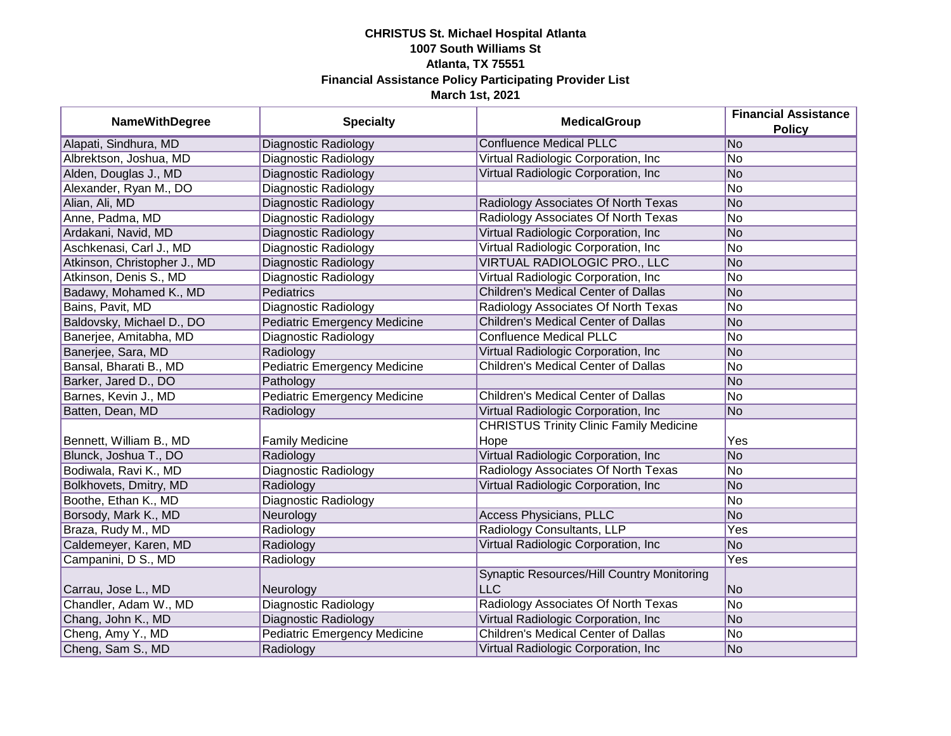| <b>NameWithDegree</b>        | <b>Specialty</b>                    | <b>MedicalGroup</b>                                      | <b>Financial Assistance</b><br><b>Policy</b> |
|------------------------------|-------------------------------------|----------------------------------------------------------|----------------------------------------------|
| Alapati, Sindhura, MD        | <b>Diagnostic Radiology</b>         | <b>Confluence Medical PLLC</b>                           | No                                           |
| Albrektson, Joshua, MD       | Diagnostic Radiology                | Virtual Radiologic Corporation, Inc                      | No                                           |
| Alden, Douglas J., MD        | Diagnostic Radiology                | Virtual Radiologic Corporation, Inc                      | <b>No</b>                                    |
| Alexander, Ryan M., DO       | Diagnostic Radiology                |                                                          | No                                           |
| Alian, Ali, MD               | Diagnostic Radiology                | Radiology Associates Of North Texas                      | <b>No</b>                                    |
| Anne, Padma, MD              | Diagnostic Radiology                | Radiology Associates Of North Texas                      | <b>No</b>                                    |
| Ardakani, Navid, MD          | Diagnostic Radiology                | Virtual Radiologic Corporation, Inc                      | <b>No</b>                                    |
| Aschkenasi, Carl J., MD      | Diagnostic Radiology                | Virtual Radiologic Corporation, Inc                      | No                                           |
| Atkinson, Christopher J., MD | Diagnostic Radiology                | VIRTUAL RADIOLOGIC PRO., LLC                             | <b>No</b>                                    |
| Atkinson, Denis S., MD       | Diagnostic Radiology                | Virtual Radiologic Corporation, Inc.                     | No                                           |
| Badawy, Mohamed K., MD       | Pediatrics                          | <b>Children's Medical Center of Dallas</b>               | <b>No</b>                                    |
| Bains, Pavit, MD             | Diagnostic Radiology                | Radiology Associates Of North Texas                      | <b>No</b>                                    |
| Baldovsky, Michael D., DO    | <b>Pediatric Emergency Medicine</b> | <b>Children's Medical Center of Dallas</b>               | <b>No</b>                                    |
| Banerjee, Amitabha, MD       | Diagnostic Radiology                | <b>Confluence Medical PLLC</b>                           | <b>No</b>                                    |
| Banerjee, Sara, MD           | Radiology                           | Virtual Radiologic Corporation, Inc.                     | <b>No</b>                                    |
| Bansal, Bharati B., MD       | <b>Pediatric Emergency Medicine</b> | <b>Children's Medical Center of Dallas</b>               | No                                           |
| Barker, Jared D., DO         | Pathology                           |                                                          | <b>No</b>                                    |
| Barnes, Kevin J., MD         | <b>Pediatric Emergency Medicine</b> | <b>Children's Medical Center of Dallas</b>               | <b>No</b>                                    |
| Batten, Dean, MD             | Radiology                           | Virtual Radiologic Corporation, Inc.                     | <b>No</b>                                    |
| Bennett, William B., MD      | <b>Family Medicine</b>              | <b>CHRISTUS Trinity Clinic Family Medicine</b><br>Hope   | Yes                                          |
| Blunck, Joshua T., DO        | Radiology                           | Virtual Radiologic Corporation, Inc                      | <b>No</b>                                    |
| Bodiwala, Ravi K., MD        | <b>Diagnostic Radiology</b>         | Radiology Associates Of North Texas                      | No                                           |
| Bolkhovets, Dmitry, MD       | Radiology                           | Virtual Radiologic Corporation, Inc                      | No                                           |
| Boothe, Ethan K., MD         | Diagnostic Radiology                |                                                          | <b>No</b>                                    |
| Borsody, Mark K., MD         | Neurology                           | <b>Access Physicians, PLLC</b>                           | <b>No</b>                                    |
| Braza, Rudy M., MD           | Radiology                           | Radiology Consultants, LLP                               | Yes                                          |
| Caldemeyer, Karen, MD        | Radiology                           | Virtual Radiologic Corporation, Inc                      | <b>No</b>                                    |
| Campanini, D S., MD          | Radiology                           |                                                          | Yes                                          |
| Carrau, Jose L., MD          | Neurology                           | Synaptic Resources/Hill Country Monitoring<br><b>LLC</b> | <b>No</b>                                    |
| Chandler, Adam W., MD        | <b>Diagnostic Radiology</b>         | Radiology Associates Of North Texas                      | No                                           |
| Chang, John K., MD           | Diagnostic Radiology                | Virtual Radiologic Corporation, Inc                      | <b>No</b>                                    |
| Cheng, Amy Y., MD            | <b>Pediatric Emergency Medicine</b> | Children's Medical Center of Dallas                      | No                                           |
| Cheng, Sam S., MD            | Radiology                           | Virtual Radiologic Corporation, Inc                      | No                                           |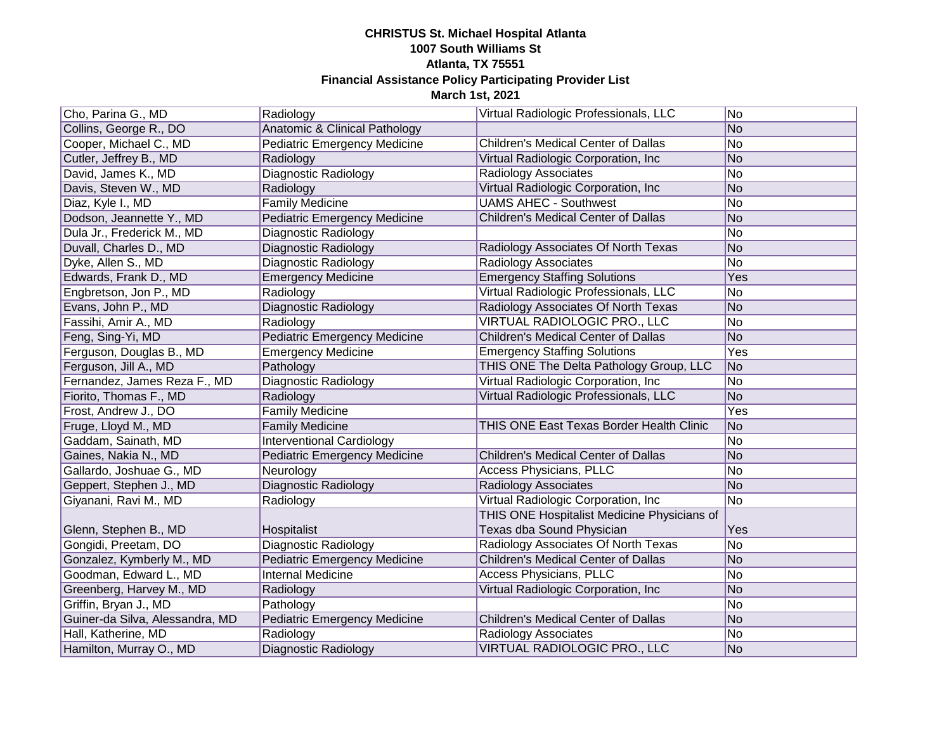| Cho, Parina G., MD              | Radiology                           | Virtual Radiologic Professionals, LLC       | No. |
|---------------------------------|-------------------------------------|---------------------------------------------|-----|
| Collins, George R., DO          | Anatomic & Clinical Pathology       |                                             | No  |
| Cooper, Michael C., MD          | <b>Pediatric Emergency Medicine</b> | <b>Children's Medical Center of Dallas</b>  | No  |
| Cutler, Jeffrey B., MD          | Radiology                           | Virtual Radiologic Corporation, Inc         | No  |
| David, James K., MD             | Diagnostic Radiology                | Radiology Associates                        | No  |
| Davis, Steven W., MD            | Radiology                           | Virtual Radiologic Corporation, Inc         | No  |
| Diaz, Kyle I., MD               | Family Medicine                     | <b>UAMS AHEC - Southwest</b>                | No  |
| Dodson, Jeannette Y., MD        | <b>Pediatric Emergency Medicine</b> | Children's Medical Center of Dallas         | No  |
| Dula Jr., Frederick M., MD      | Diagnostic Radiology                |                                             | No  |
| Duvall, Charles D., MD          | Diagnostic Radiology                | Radiology Associates Of North Texas         | No  |
| Dyke, Allen S., MD              | Diagnostic Radiology                | Radiology Associates                        | No  |
| Edwards, Frank D., MD           | <b>Emergency Medicine</b>           | <b>Emergency Staffing Solutions</b>         | Yes |
| Engbretson, Jon P., MD          | Radiology                           | Virtual Radiologic Professionals, LLC       | No  |
| Evans, John P., MD              | Diagnostic Radiology                | Radiology Associates Of North Texas         | No  |
| Fassihi, Amir A., MD            | Radiology                           | VIRTUAL RADIOLOGIC PRO., LLC                | No  |
| Feng, Sing-Yi, MD               | <b>Pediatric Emergency Medicine</b> | Children's Medical Center of Dallas         | No  |
| Ferguson, Douglas B., MD        | <b>Emergency Medicine</b>           | <b>Emergency Staffing Solutions</b>         | Yes |
| Ferguson, Jill A., MD           | Pathology                           | THIS ONE The Delta Pathology Group, LLC     | No  |
| Fernandez, James Reza F., MD    | Diagnostic Radiology                | Virtual Radiologic Corporation, Inc         | No  |
| Fiorito, Thomas F., MD          | Radiology                           | Virtual Radiologic Professionals, LLC       | No  |
| Frost, Andrew J., DO            | <b>Family Medicine</b>              |                                             | Yes |
| Fruge, Lloyd M., MD             | <b>Family Medicine</b>              | THIS ONE East Texas Border Health Clinic    | No  |
| Gaddam, Sainath, MD             | <b>Interventional Cardiology</b>    |                                             | No  |
| Gaines, Nakia N., MD            | <b>Pediatric Emergency Medicine</b> | <b>Children's Medical Center of Dallas</b>  | No  |
| Gallardo, Joshuae G., MD        | Neurology                           | <b>Access Physicians, PLLC</b>              | No  |
| Geppert, Stephen J., MD         | Diagnostic Radiology                | Radiology Associates                        | No  |
| Giyanani, Ravi M., MD           | Radiology                           | Virtual Radiologic Corporation, Inc         | No  |
|                                 |                                     | THIS ONE Hospitalist Medicine Physicians of |     |
| Glenn, Stephen B., MD           | Hospitalist                         | Texas dba Sound Physician                   | Yes |
| Gongidi, Preetam, DO            | Diagnostic Radiology                | Radiology Associates Of North Texas         | No  |
| Gonzalez, Kymberly M., MD       | <b>Pediatric Emergency Medicine</b> | <b>Children's Medical Center of Dallas</b>  | No  |
| Goodman, Edward L., MD          | <b>Internal Medicine</b>            | Access Physicians, PLLC                     | No  |
| Greenberg, Harvey M., MD        | Radiology                           | Virtual Radiologic Corporation, Inc         | No  |
| Griffin, Bryan J., MD           | Pathology                           |                                             | No  |
| Guiner-da Silva, Alessandra, MD | <b>Pediatric Emergency Medicine</b> | <b>Children's Medical Center of Dallas</b>  | No  |
| Hall, Katherine, MD             | Radiology                           | Radiology Associates                        | No  |
| Hamilton, Murray O., MD         | Diagnostic Radiology                | VIRTUAL RADIOLOGIC PRO., LLC                | No  |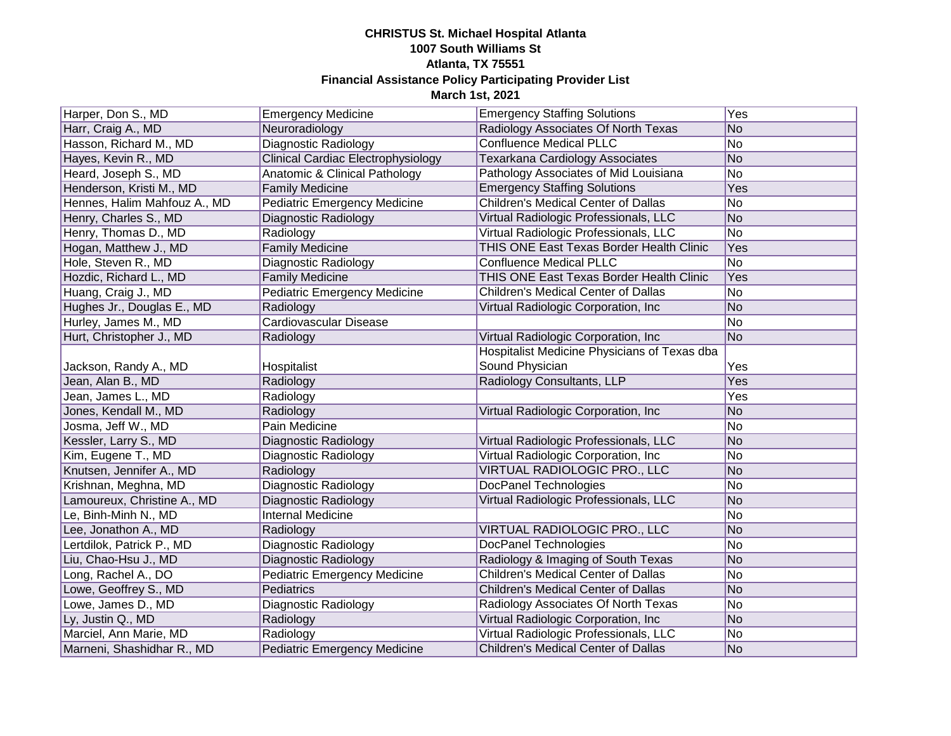| Harper, Don S., MD           | <b>Emergency Medicine</b>           | <b>Emergency Staffing Solutions</b>          | Yes            |
|------------------------------|-------------------------------------|----------------------------------------------|----------------|
| Harr, Craig A., MD           | Neuroradiology                      | Radiology Associates Of North Texas          | No             |
| Hasson, Richard M., MD       | Diagnostic Radiology                | <b>Confluence Medical PLLC</b>               | No             |
| Hayes, Kevin R., MD          | Clinical Cardiac Electrophysiology  | Texarkana Cardiology Associates              | No             |
| Heard, Joseph S., MD         | Anatomic & Clinical Pathology       | Pathology Associates of Mid Louisiana        | No             |
| Henderson, Kristi M., MD     | <b>Family Medicine</b>              | <b>Emergency Staffing Solutions</b>          | Yes            |
| Hennes, Halim Mahfouz A., MD | <b>Pediatric Emergency Medicine</b> | Children's Medical Center of Dallas          | No             |
| Henry, Charles S., MD        | Diagnostic Radiology                | Virtual Radiologic Professionals, LLC        | No             |
| Henry, Thomas D., MD         | Radiology                           | Virtual Radiologic Professionals, LLC        | No             |
| Hogan, Matthew J., MD        | <b>Family Medicine</b>              | THIS ONE East Texas Border Health Clinic     | Yes            |
| Hole, Steven R., MD          | Diagnostic Radiology                | <b>Confluence Medical PLLC</b>               | No             |
| Hozdic, Richard L., MD       | <b>Family Medicine</b>              | THIS ONE East Texas Border Health Clinic     | Yes            |
| Huang, Craig J., MD          | <b>Pediatric Emergency Medicine</b> | <b>Children's Medical Center of Dallas</b>   | No             |
| Hughes Jr., Douglas E., MD   | Radiology                           | Virtual Radiologic Corporation, Inc          | N <sub>o</sub> |
| Hurley, James M., MD         | Cardiovascular Disease              |                                              | No             |
| Hurt, Christopher J., MD     | Radiology                           | Virtual Radiologic Corporation, Inc          | N <sub>o</sub> |
|                              |                                     | Hospitalist Medicine Physicians of Texas dba |                |
| Jackson, Randy A., MD        | Hospitalist                         | Sound Physician                              | Yes            |
| Jean, Alan B., MD            | Radiology                           | Radiology Consultants, LLP                   | Yes            |
| Jean, James L., MD           | Radiology                           |                                              | Yes            |
| Jones, Kendall M., MD        | Radiology                           | Virtual Radiologic Corporation, Inc          | N <sub>o</sub> |
| Josma, Jeff W., MD           | Pain Medicine                       |                                              | No             |
| Kessler, Larry S., MD        | Diagnostic Radiology                | Virtual Radiologic Professionals, LLC        | No             |
| Kim, Eugene T., MD           | Diagnostic Radiology                | Virtual Radiologic Corporation, Inc          | No             |
| Knutsen, Jennifer A., MD     | Radiology                           | VIRTUAL RADIOLOGIC PRO., LLC                 | No             |
| Krishnan, Meghna, MD         | Diagnostic Radiology                | DocPanel Technologies                        | No             |
| Lamoureux, Christine A., MD  | Diagnostic Radiology                | Virtual Radiologic Professionals, LLC        | No             |
| Le, Binh-Minh N., MD         | Internal Medicine                   |                                              | No             |
| Lee, Jonathon A., MD         | Radiology                           | VIRTUAL RADIOLOGIC PRO., LLC                 | No             |
| Lertdilok, Patrick P., MD    | Diagnostic Radiology                | DocPanel Technologies                        | No             |
| Liu, Chao-Hsu J., MD         | Diagnostic Radiology                | Radiology & Imaging of South Texas           | No             |
| Long, Rachel A., DO          | <b>Pediatric Emergency Medicine</b> | Children's Medical Center of Dallas          | No             |
| Lowe, Geoffrey S., MD        | Pediatrics                          | Children's Medical Center of Dallas          | No             |
| Lowe, James D., MD           | Diagnostic Radiology                | Radiology Associates Of North Texas          | No             |
| Ly, Justin Q., MD            | Radiology                           | Virtual Radiologic Corporation, Inc.         | N <sub>o</sub> |
| Marciel, Ann Marie, MD       | Radiology                           | Virtual Radiologic Professionals, LLC        | No             |
| Marneni, Shashidhar R., MD   | <b>Pediatric Emergency Medicine</b> | Children's Medical Center of Dallas          | No             |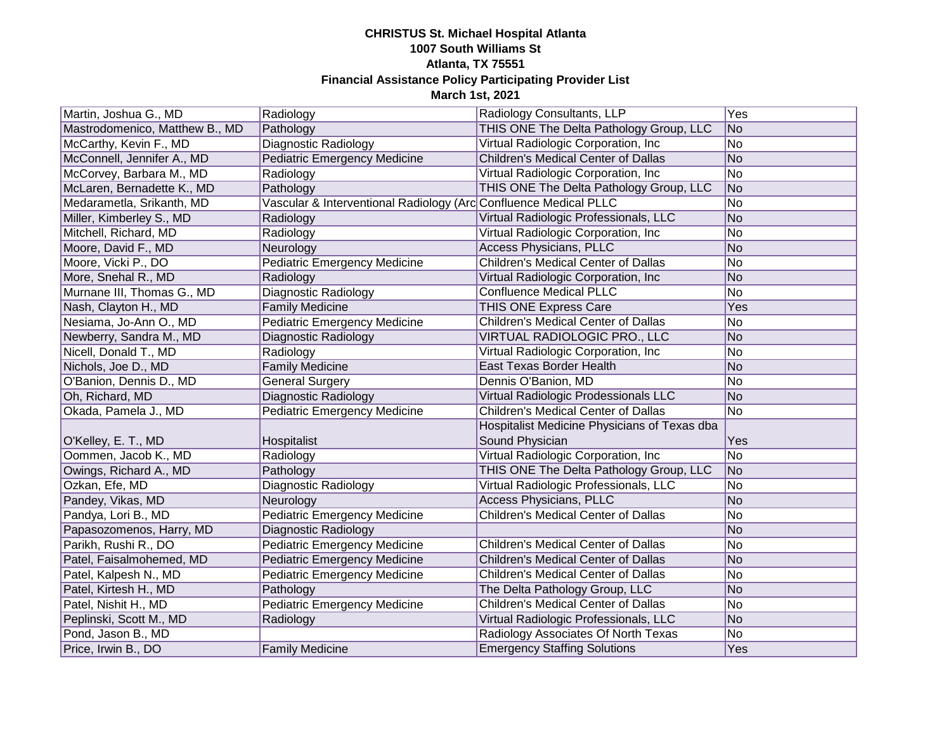| Martin, Joshua G., MD          | Radiology                                                        | Radiology Consultants, LLP                   | <b>Yes</b>      |
|--------------------------------|------------------------------------------------------------------|----------------------------------------------|-----------------|
| Mastrodomenico, Matthew B., MD | Pathology                                                        | THIS ONE The Delta Pathology Group, LLC      | <b>No</b>       |
| McCarthy, Kevin F., MD         | Diagnostic Radiology                                             | Virtual Radiologic Corporation, Inc.         | $\overline{No}$ |
| McConnell, Jennifer A., MD     | <b>Pediatric Emergency Medicine</b>                              | <b>Children's Medical Center of Dallas</b>   | $\overline{No}$ |
| McCorvey, Barbara M., MD       | Radiology                                                        | Virtual Radiologic Corporation, Inc          | No              |
| McLaren, Bernadette K., MD     | Pathology                                                        | THIS ONE The Delta Pathology Group, LLC      | <b>No</b>       |
| Medarametla, Srikanth, MD      | Vascular & Interventional Radiology (Arc Confluence Medical PLLC |                                              | No              |
| Miller, Kimberley S., MD       | Radiology                                                        | Virtual Radiologic Professionals, LLC        | <b>No</b>       |
| Mitchell, Richard, MD          | Radiology                                                        | Virtual Radiologic Corporation, Inc.         | No              |
| Moore, David F., MD            | Neurology                                                        | Access Physicians, PLLC                      | <b>No</b>       |
| Moore, Vicki P., DO            | <b>Pediatric Emergency Medicine</b>                              | Children's Medical Center of Dallas          | No              |
| More, Snehal R., MD            | Radiology                                                        | Virtual Radiologic Corporation, Inc.         | <b>No</b>       |
| Murnane III, Thomas G., MD     | Diagnostic Radiology                                             | <b>Confluence Medical PLLC</b>               | No              |
| Nash, Clayton H., MD           | <b>Family Medicine</b>                                           | <b>THIS ONE Express Care</b>                 | Yes             |
| Nesiama, Jo-Ann O., MD         | <b>Pediatric Emergency Medicine</b>                              | Children's Medical Center of Dallas          | No              |
| Newberry, Sandra M., MD        | Diagnostic Radiology                                             | VIRTUAL RADIOLOGIC PRO., LLC                 | <b>No</b>       |
| Nicell, Donald T., MD          | Radiology                                                        | Virtual Radiologic Corporation, Inc          | <b>No</b>       |
| Nichols, Joe D., MD            | <b>Family Medicine</b>                                           | <b>East Texas Border Health</b>              | No              |
| O'Banion, Dennis D., MD        | <b>General Surgery</b>                                           | Dennis O'Banion, MD                          | <b>No</b>       |
| Oh, Richard, MD                | Diagnostic Radiology                                             | Virtual Radiologic Prodessionals LLC         | <b>No</b>       |
| Okada, Pamela J., MD           | <b>Pediatric Emergency Medicine</b>                              | <b>Children's Medical Center of Dallas</b>   | No              |
|                                |                                                                  | Hospitalist Medicine Physicians of Texas dba |                 |
| O'Kelley, E. T., MD            | Hospitalist                                                      | Sound Physician                              | Yes             |
| Oommen, Jacob K., MD           | Radiology                                                        | Virtual Radiologic Corporation, Inc          | No              |
| Owings, Richard A., MD         | Pathology                                                        | THIS ONE The Delta Pathology Group, LLC      | No              |
| Ozkan, Efe, MD                 | Diagnostic Radiology                                             | Virtual Radiologic Professionals, LLC        | No              |
| Pandey, Vikas, MD              | Neurology                                                        | <b>Access Physicians, PLLC</b>               | No              |
| Pandya, Lori B., MD            | <b>Pediatric Emergency Medicine</b>                              | Children's Medical Center of Dallas          | No              |
| Papasozomenos, Harry, MD       | Diagnostic Radiology                                             |                                              | No              |
| Parikh, Rushi R., DO           | <b>Pediatric Emergency Medicine</b>                              | Children's Medical Center of Dallas          | No              |
| Patel, Faisalmohemed, MD       | <b>Pediatric Emergency Medicine</b>                              | <b>Children's Medical Center of Dallas</b>   | No              |
| Patel, Kalpesh N., MD          | <b>Pediatric Emergency Medicine</b>                              | <b>Children's Medical Center of Dallas</b>   | No              |
| Patel, Kirtesh H., MD          | Pathology                                                        | The Delta Pathology Group, LLC               | No              |
| Patel, Nishit H., MD           | <b>Pediatric Emergency Medicine</b>                              | Children's Medical Center of Dallas          | No              |
| Peplinski, Scott M., MD        | Radiology                                                        | Virtual Radiologic Professionals, LLC        | No              |
| Pond, Jason B., MD             |                                                                  | Radiology Associates Of North Texas          | No              |
| Price, Irwin B., DO            | <b>Family Medicine</b>                                           | <b>Emergency Staffing Solutions</b>          | Yes             |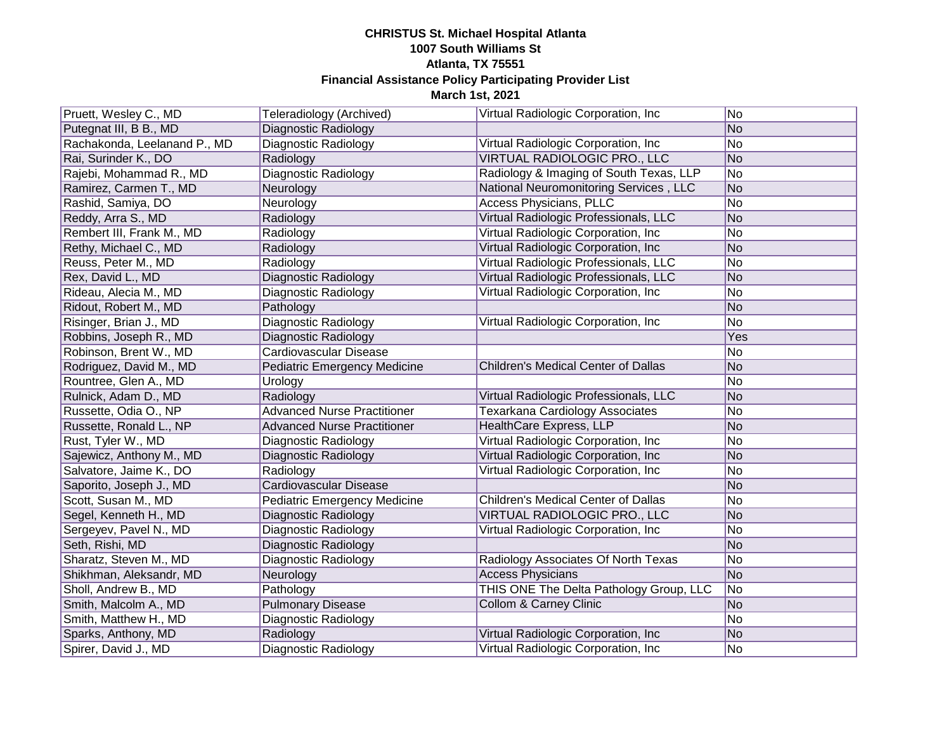| Pruett, Wesley C., MD        | Teleradiology (Archived)            | Virtual Radiologic Corporation, Inc.    | No.            |
|------------------------------|-------------------------------------|-----------------------------------------|----------------|
| Putegnat III, B B., MD       | <b>Diagnostic Radiology</b>         |                                         | No             |
| Rachakonda, Leelanand P., MD | Diagnostic Radiology                | Virtual Radiologic Corporation, Inc     | No             |
| Rai, Surinder K., DO         | Radiology                           | VIRTUAL RADIOLOGIC PRO., LLC            | No             |
| Rajebi, Mohammad R., MD      | <b>Diagnostic Radiology</b>         | Radiology & Imaging of South Texas, LLP | No             |
| Ramirez, Carmen T., MD       | Neurology                           | National Neuromonitoring Services, LLC  | N <sub>o</sub> |
| Rashid, Samiya, DO           | Neurology                           | Access Physicians, PLLC                 | No             |
| Reddy, Arra S., MD           | Radiology                           | Virtual Radiologic Professionals, LLC   | No             |
| Rembert III, Frank M., MD    | Radiology                           | Virtual Radiologic Corporation, Inc     | No             |
| Rethy, Michael C., MD        | Radiology                           | Virtual Radiologic Corporation, Inc     | N <sub>o</sub> |
| Reuss, Peter M., MD          | Radiology                           | Virtual Radiologic Professionals, LLC   | No             |
| Rex, David L., MD            | Diagnostic Radiology                | Virtual Radiologic Professionals, LLC   | No             |
| Rideau, Alecia M., MD        | Diagnostic Radiology                | Virtual Radiologic Corporation, Inc     | No             |
| Ridout, Robert M., MD        | Pathology                           |                                         | N <sub>o</sub> |
| Risinger, Brian J., MD       | Diagnostic Radiology                | Virtual Radiologic Corporation, Inc     | No             |
| Robbins, Joseph R., MD       | <b>Diagnostic Radiology</b>         |                                         | Yes            |
| Robinson, Brent W., MD       | Cardiovascular Disease              |                                         | No             |
| Rodriguez, David M., MD      | <b>Pediatric Emergency Medicine</b> | Children's Medical Center of Dallas     | No             |
| Rountree, Glen A., MD        | Urology                             |                                         | No             |
| Rulnick, Adam D., MD         | Radiology                           | Virtual Radiologic Professionals, LLC   | No             |
| Russette, Odia O., NP        | <b>Advanced Nurse Practitioner</b>  | <b>Texarkana Cardiology Associates</b>  | No             |
| Russette, Ronald L., NP      | <b>Advanced Nurse Practitioner</b>  | <b>HealthCare Express, LLP</b>          | No             |
| Rust, Tyler W., MD           | Diagnostic Radiology                | Virtual Radiologic Corporation, Inc     | No             |
| Sajewicz, Anthony M., MD     | Diagnostic Radiology                | Virtual Radiologic Corporation, Inc     | No             |
| Salvatore, Jaime K., DO      | Radiology                           | Virtual Radiologic Corporation, Inc     | No             |
| Saporito, Joseph J., MD      | Cardiovascular Disease              |                                         | N <sub>o</sub> |
| Scott, Susan M., MD          | <b>Pediatric Emergency Medicine</b> | Children's Medical Center of Dallas     | No             |
| Segel, Kenneth H., MD        | <b>Diagnostic Radiology</b>         | VIRTUAL RADIOLOGIC PRO., LLC            | N <sub>o</sub> |
| Sergeyev, Pavel N., MD       | Diagnostic Radiology                | Virtual Radiologic Corporation, Inc     | No             |
| Seth, Rishi, MD              | Diagnostic Radiology                |                                         | N <sub>o</sub> |
| Sharatz, Steven M., MD       | Diagnostic Radiology                | Radiology Associates Of North Texas     | No             |
| Shikhman, Aleksandr, MD      | Neurology                           | <b>Access Physicians</b>                | No             |
| Sholl, Andrew B., MD         | Pathology                           | THIS ONE The Delta Pathology Group, LLC | No             |
| Smith, Malcolm A., MD        | <b>Pulmonary Disease</b>            | Collom & Carney Clinic                  | No             |
| Smith, Matthew H., MD        | Diagnostic Radiology                |                                         | No             |
| Sparks, Anthony, MD          | Radiology                           | Virtual Radiologic Corporation, Inc     | No             |
| Spirer, David J., MD         | Diagnostic Radiology                | Virtual Radiologic Corporation, Inc.    | No.            |